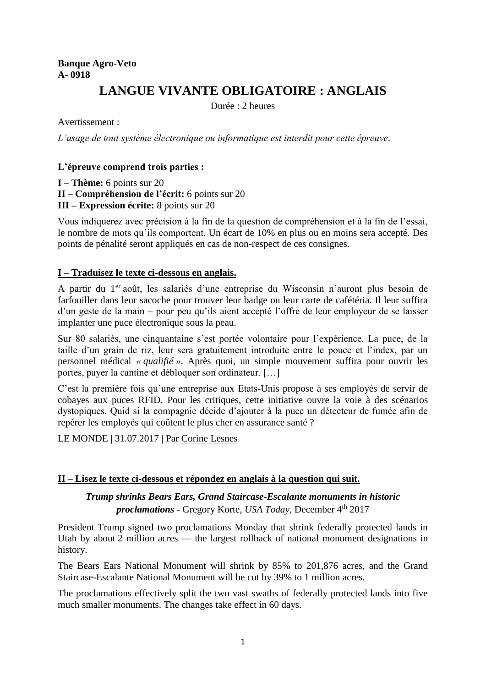## **Banque Agro-Veto A- 0918**

# **LANGUE VIVANTE OBLIGATOIRE : ANGLAIS**

Durée : 2 heures

Avertissement :

*L'usage de tout système électronique ou informatique est interdit pour cette épreuve.*

## **L'épreuve comprend trois parties :**

**I – Thème:** 6 points sur 20

**II – Compréhension de l'écrit:** 6 points sur 20

**III – Expression écrite:** 8 points sur 20

Vous indiquerez avec précision à la fin de la question de compréhension et à la fin de l'essai, le nombre de mots qu'ils comportent. Un écart de 10% en plus ou en moins sera accepté. Des points de pénalité seront appliqués en cas de non-respect de ces consignes.

## **I – Traduisez le texte ci-dessous en anglais.**

A partir du 1<sup>er</sup> août, les salariés d'une entreprise du Wisconsin n'auront plus besoin de farfouiller dans leur sacoche pour trouver leur badge ou leur carte de cafétéria. Il leur suffira d'un geste de la main – pour peu qu'ils aient accepté l'offre de leur employeur de se laisser implanter une puce électronique sous la peau.

Sur 80 salariés, une cinquantaine s'est portée volontaire pour l'expérience. La puce, de la taille d'un grain de riz, leur sera gratuitement introduite entre le pouce et l'index, par un personnel médical *« qualifié »*. Après quoi, un simple mouvement suffira pour ouvrir les portes, payer la cantine et débloquer son ordinateur. […]

C'est la première fois qu'une entreprise aux Etats-Unis propose à ses employés de servir de cobayes aux puces RFID. Pour les critiques, cette initiative ouvre la voie à des scénarios dystopiques. Quid si la compagnie décide d'ajouter à la puce un détecteur de fumée afin de repérer les employés qui coûtent le plus cher en assurance santé ?

LE MONDE | 31.07.2017 | Par [Corine Lesnes](http://abonnes.lemonde.fr/journaliste/corine-lesnes/)

## **II – Lisez le texte ci-dessous et répondez en anglais à la question qui suit.**

*Trump shrinks Bears Ears, Grand Staircase-Escalante monuments in historic proclamations* - Gregory Korte, *USA Today*, December 4th 2017

President Trump signed two proclamations Monday that shrink federally protected lands in Utah by about 2 million acres — the largest rollback of national monument designations in history.

The Bears Ears National Monument will shrink by 85% to 201,876 acres, and the Grand Staircase-Escalante National Monument will be cut by 39% to 1 million acres.

The proclamations effectively split the two vast swaths of federally protected lands into five much smaller monuments. The changes take effect in 60 days.